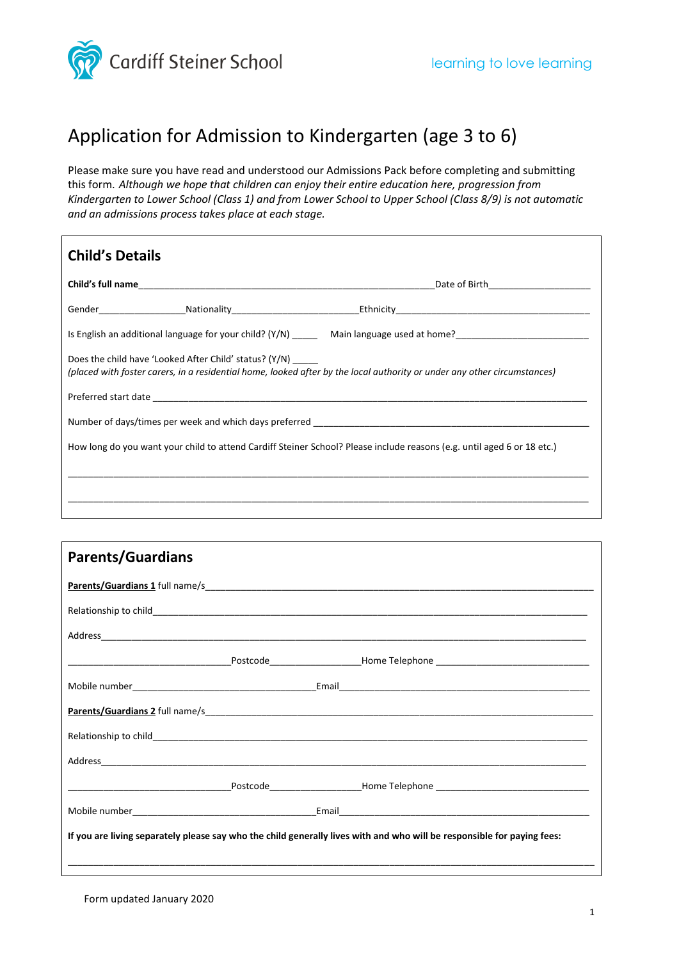

## Application for Admission to Kindergarten (age 3 to 6)

Please make sure you have read and understood our Admissions Pack before completing and submitting this form. *Although we hope that children can enjoy their entire education here, progression from Kindergarten to Lower School (Class 1) and from Lower School to Upper School (Class 8/9) is not automatic and an admissions process takes place at each stage.*

| <b>Child's Details</b>                                                                                                                                                                    |  |  |  |  |
|-------------------------------------------------------------------------------------------------------------------------------------------------------------------------------------------|--|--|--|--|
|                                                                                                                                                                                           |  |  |  |  |
|                                                                                                                                                                                           |  |  |  |  |
|                                                                                                                                                                                           |  |  |  |  |
| Does the child have 'Looked After Child' status? (Y/N) ______<br>(placed with foster carers, in a residential home, looked after by the local authority or under any other circumstances) |  |  |  |  |
|                                                                                                                                                                                           |  |  |  |  |
|                                                                                                                                                                                           |  |  |  |  |
| How long do you want your child to attend Cardiff Steiner School? Please include reasons (e.g. until aged 6 or 18 etc.)                                                                   |  |  |  |  |
|                                                                                                                                                                                           |  |  |  |  |
|                                                                                                                                                                                           |  |  |  |  |
|                                                                                                                                                                                           |  |  |  |  |

| <b>Parents/Guardians</b>                                                                                                |  |  |  |  |
|-------------------------------------------------------------------------------------------------------------------------|--|--|--|--|
|                                                                                                                         |  |  |  |  |
|                                                                                                                         |  |  |  |  |
|                                                                                                                         |  |  |  |  |
|                                                                                                                         |  |  |  |  |
|                                                                                                                         |  |  |  |  |
|                                                                                                                         |  |  |  |  |
|                                                                                                                         |  |  |  |  |
|                                                                                                                         |  |  |  |  |
|                                                                                                                         |  |  |  |  |
|                                                                                                                         |  |  |  |  |
| If you are living separately please say who the child generally lives with and who will be responsible for paying fees: |  |  |  |  |
|                                                                                                                         |  |  |  |  |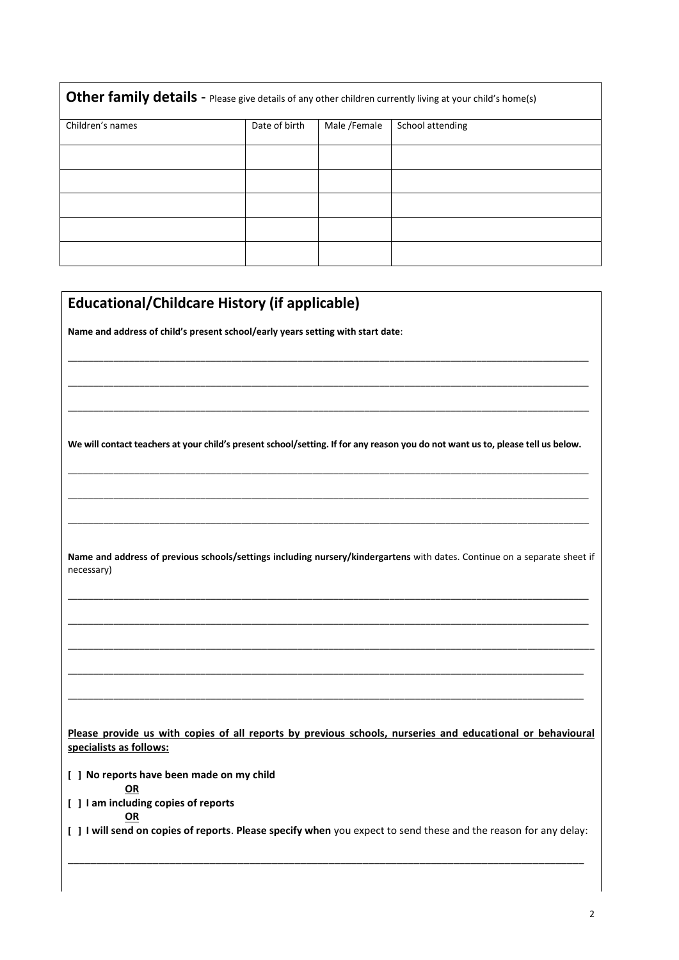| Other family details - Please give details of any other children currently living at your child's home(s) |               |              |                  |  |  |
|-----------------------------------------------------------------------------------------------------------|---------------|--------------|------------------|--|--|
| Children's names                                                                                          | Date of birth | Male /Female | School attending |  |  |
|                                                                                                           |               |              |                  |  |  |
|                                                                                                           |               |              |                  |  |  |
|                                                                                                           |               |              |                  |  |  |
|                                                                                                           |               |              |                  |  |  |
|                                                                                                           |               |              |                  |  |  |

| <b>Educational/Childcare History (if applicable)</b>                                                                                    |
|-----------------------------------------------------------------------------------------------------------------------------------------|
| Name and address of child's present school/early years setting with start date:                                                         |
|                                                                                                                                         |
|                                                                                                                                         |
|                                                                                                                                         |
| We will contact teachers at your child's present school/setting. If for any reason you do not want us to, please tell us below.         |
|                                                                                                                                         |
|                                                                                                                                         |
|                                                                                                                                         |
| Name and address of previous schools/settings including nursery/kindergartens with dates. Continue on a separate sheet if<br>necessary) |
|                                                                                                                                         |
|                                                                                                                                         |
|                                                                                                                                         |
|                                                                                                                                         |
|                                                                                                                                         |
| Please provide us with copies of all reports by previous schools, nurseries and educational or behavioural<br>specialists as follows:   |
| [ ] No reports have been made on my child                                                                                               |
| <b>OR</b><br>[ ] I am including copies of reports                                                                                       |
| OR<br>[ ] I will send on copies of reports. Please specify when you expect to send these and the reason for any delay:                  |
|                                                                                                                                         |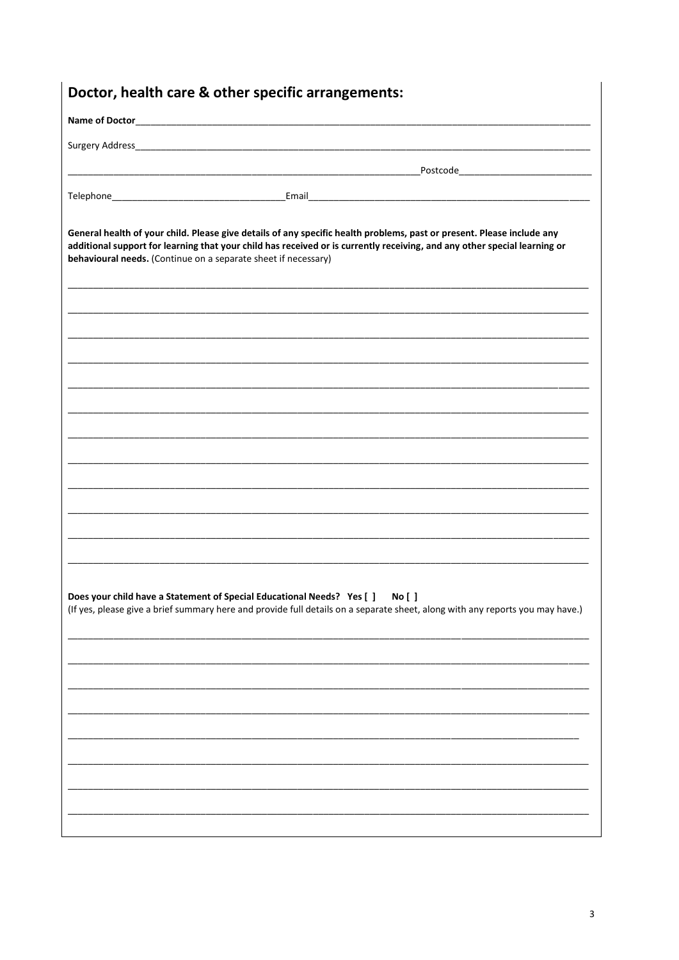| General health of your child. Please give details of any specific health problems, past or present. Please include any<br>additional support for learning that your child has received or is currently receiving, and any other special learning or<br>behavioural needs. (Continue on a separate sheet if necessary) |
|-----------------------------------------------------------------------------------------------------------------------------------------------------------------------------------------------------------------------------------------------------------------------------------------------------------------------|
|                                                                                                                                                                                                                                                                                                                       |
|                                                                                                                                                                                                                                                                                                                       |
|                                                                                                                                                                                                                                                                                                                       |
|                                                                                                                                                                                                                                                                                                                       |
|                                                                                                                                                                                                                                                                                                                       |
|                                                                                                                                                                                                                                                                                                                       |
|                                                                                                                                                                                                                                                                                                                       |
|                                                                                                                                                                                                                                                                                                                       |
|                                                                                                                                                                                                                                                                                                                       |
|                                                                                                                                                                                                                                                                                                                       |
| Does your child have a Statement of Special Educational Needs? Yes [ ]<br><b>No</b> [ ]<br>(If yes, please give a brief summary here and provide full details on a separate sheet, along with any reports you may have.)                                                                                              |
|                                                                                                                                                                                                                                                                                                                       |
|                                                                                                                                                                                                                                                                                                                       |
|                                                                                                                                                                                                                                                                                                                       |
|                                                                                                                                                                                                                                                                                                                       |
|                                                                                                                                                                                                                                                                                                                       |
|                                                                                                                                                                                                                                                                                                                       |
|                                                                                                                                                                                                                                                                                                                       |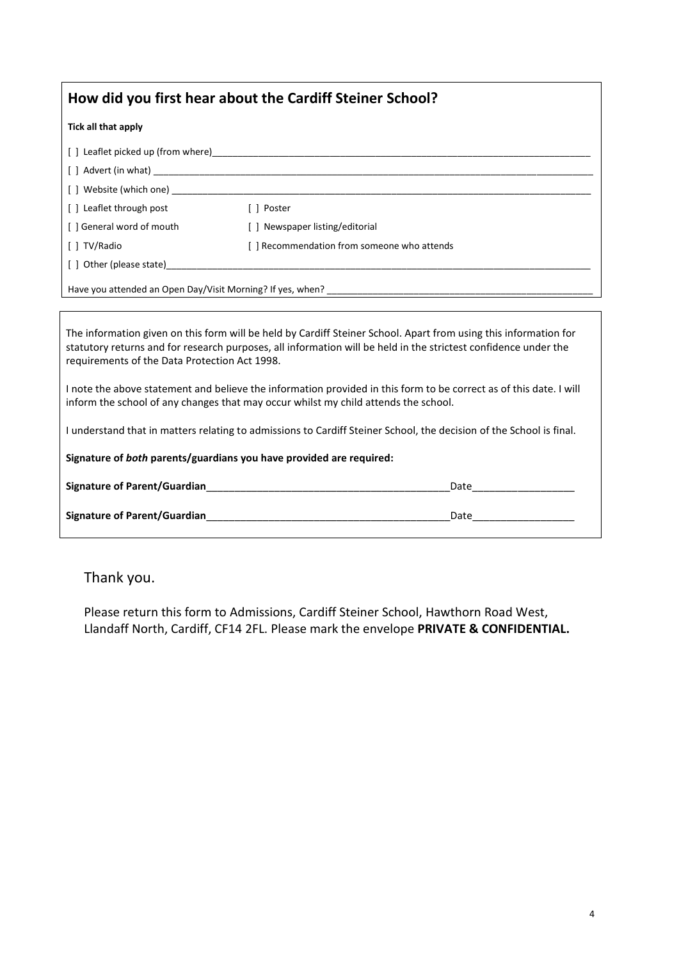| How did you first hear about the Cardiff Steiner School? |                                                                                                                                                                                                                                |  |  |
|----------------------------------------------------------|--------------------------------------------------------------------------------------------------------------------------------------------------------------------------------------------------------------------------------|--|--|
| Tick all that apply                                      |                                                                                                                                                                                                                                |  |  |
|                                                          |                                                                                                                                                                                                                                |  |  |
|                                                          |                                                                                                                                                                                                                                |  |  |
|                                                          | [ ] Website (which one) when the state of the state of the state of the state of the state of the state of the state of the state of the state of the state of the state of the state of the state of the state of the state o |  |  |
| [] Leaflet through post                                  | [ ] Poster                                                                                                                                                                                                                     |  |  |
| [ ] General word of mouth                                | [] Newspaper listing/editorial                                                                                                                                                                                                 |  |  |
| [ ] TV/Radio                                             | [] Recommendation from someone who attends                                                                                                                                                                                     |  |  |
| [] Other (please state)                                  |                                                                                                                                                                                                                                |  |  |
|                                                          |                                                                                                                                                                                                                                |  |  |
|                                                          | The information given on this form will be held by Cardiff Steiner School. Apart from using this information for                                                                                                               |  |  |

The information given on this form will be held by Cardiff Steiner School. Apart from using this information for statutory returns and for research purposes, all information will be held in the strictest confidence under the requirements of the Data Protection Act 1998.

I note the above statement and believe the information provided in this form to be correct as of this date. I will inform the school of any changes that may occur whilst my child attends the school.

I understand that in matters relating to admissions to Cardiff Steiner School, the decision of the School is final.

**Signature of** *both* **parents/guardians you have provided are required:**

| <b>Signature of Parent/Guardian</b> | Date |
|-------------------------------------|------|
| <b>Signature of Parent/Guardian</b> | Date |

Thank you.

Please return this form to Admissions, Cardiff Steiner School, Hawthorn Road West, Llandaff North, Cardiff, CF14 2FL. Please mark the envelope **PRIVATE & CONFIDENTIAL.**